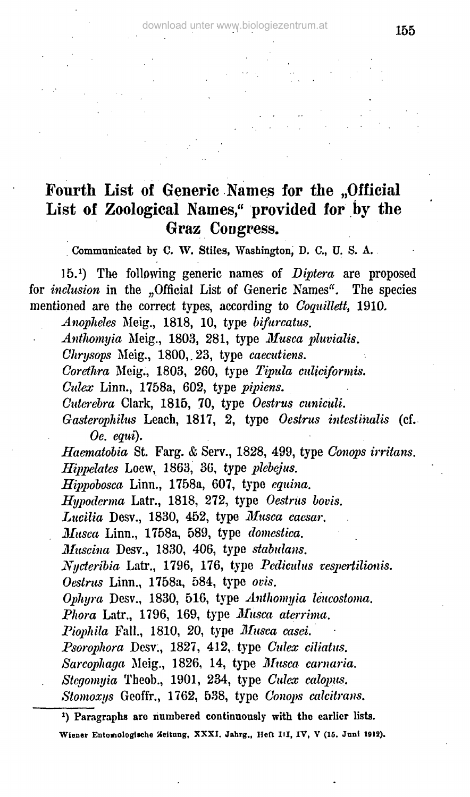## Fourth List of Generic Names for the "Official **List of Zoological Names," provided for by the Graz Congress.**

Communicated by C. W. Stiles, Washington, D. C, U. S. A.

15.<sup>1</sup> ) The following generic names of *Biptera* are proposed for *inclusion* in the "Official List of Generic Names". The species mentioned are the correct types, according to *Coquillett,* 1910.

*Anopheles* Meig., 1818, 10, type *bifurcatus.*

*Anthomyia* Meig., 1803, 281, type *Musca pluvialis.*

*Chrysops* Meig., 1800,.23, type *caecutiens.*

*Corethra* Meig., 1803, 260, type *Tipula culiciformis.*

*Cidex* Linn., 1758a, 602, type *pipiens.*

*Cutcrebra* Clark, 1815, 70, type *Oestrus cuniculi.*

*Gasterophilus* Leach, 1817, 2, type *Oestrus intestinalis* (cf. *Oe. eqid).*

*Haematohia* St. Farg. & Serv., 1828, 499, type *Conaps irritans. Hippelates* Loew, 1863, 36, type *plebejus.*

*Hippobosca* Linn., 1758a, 607, type *equina.*

*Hypoderma* Latr., 1818, 272, type *Oestrus bovis.*

*Lucilia* Desv., 1830, 452, type *Musca caesar.*

*Musca* Linn., 1758a, 589, type *domestica.*

*Muscina* Desv., 1830, 406, type *stabulans.*

*Nycteribia* Latr., 1796, 176, type *Pcdiculus vespertilionis.*

*Oestrus* Linn., 1758a, 584, type *ovis.*

*Ophyra* Desv., 1830, 516, type *Anthomyia Uucostoma.*

*Phora* Latr., 1796, 169, type *Musca aterrima.*

*Piophila* Fall., 1810, 20, type *Musca easel*

*Psorophora* Desv., 1827, 412, type *Culex ciliatus.*

- *Sarcopliaga* Meig., 1826, 14, type *Musca carnaria.*
- *Stcgomyia* Theob., 1901, 234, type *Culcx calopus.*
- *Stomoxys* Geoffr., 1762, 538, type *Conops calcitrans.*

<sup>\*)</sup> Paragraphs are numbered continuously with the earlier lists.

Wiener Entomologische Zeitung, XXXI. Jahrg., Heft III, IV, V (15. Juni 1912).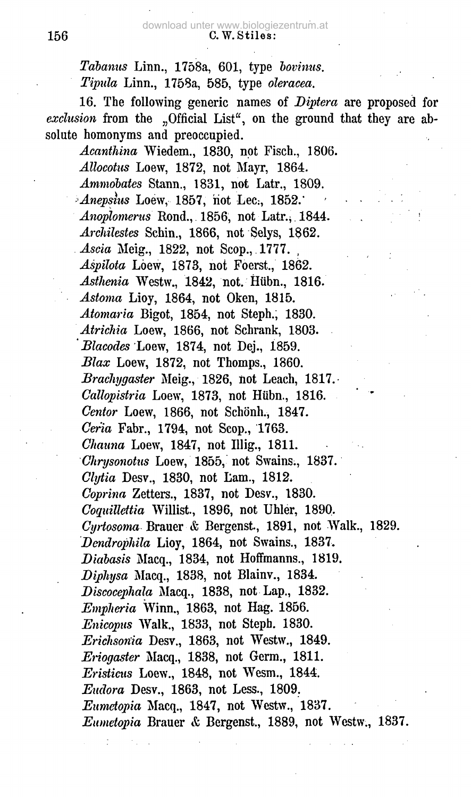*Tabanus* Linn., 1758a, 601, type *bovinus. Tipida* Linn., 1758a, 585, type *oleracea.*

16. The following generic names of *Diptera* are proposed for *exclusion* from the ... Official List", on the ground that they are absolute homonyms and preoccupied.

*Acanthina* Wiedem., 1830, not Fisch., 1806. *Allocotus* Loew, 1872, not Mayr, 1864. *Ammobates* Stann., 1831, not Latr., 1809. *Anepsius* Loew, 1857, not Lec., 1852. *Anoplomerus* Rond., 1856, not Latr., 1844. *Archilestes* Schin., 1866, not Selys, 1862. *Ascia* Meig., 1822, not Scop., 1777. *Aspihta* Löew, 1873, not Foerst., 1862. *Asthenia* Westw., 1842, not. Hiibn., 1816. *Astoma* Lioy, 1864, not Oken, 1815. *Atomaria* Bigot, 1854, not Steph.; 1830. *Atrichia* Loew, 1866, not Schrank, 1803. ' *Blacodes* Loew, 1874, not Dej., 1859. *Blax* Loew, 1872, not Thomps., 1860. *Bracliygasier* Meig., 1826, not Leach, 1817. *Callopistria* Loew, 1873, not Hübn., 1816. *Cantor* Loew, 1866, not Schönh., 1847. *Cer'ia* Fabr., 1794, not Scop., 1763. *Chauna* Loew, 1847, not Illig., 1811. *Chrysonotus* Loew, 1855, not Swains., 1837. *Clytia* Desv., 1830, not Lam., 1812. *Coprina* Zetters., 1837, not Desv., 1830. *Coquilleitia* Willist., 1896, not Uhler, 1890. *Cyrtosoma* Brauer & Bergenst, 1891, not Walk., 1829. *Dendrophila* Lioy, 1864, not Swains., 1837. *Didbasis* Macq., 1834, not Hoffmanns., 1819. *Diphysa* Macq., 1838, not Blainv., 1834. *Discocephala* Macq., 1838, not Lap., 1832. *Empheria* Winn., 1863, not Hag. 1856. *Enicopus* Walk., 1833, not Steph. 1830. *Erichsonia* Desv., 1863, not Westw., 1849. *Eriogaster* Macq., 1838, not Germ., 1811. *Eristicus* Loew., 1848, not Wesm., 1844. *Eudora* Desv., 1863, not Less., 1809. *Eumetopia* Macq., 1847, not Westw., 1837. *Eumetopia* Brauer *&* Bergenst., 1889, not Westw., 1837.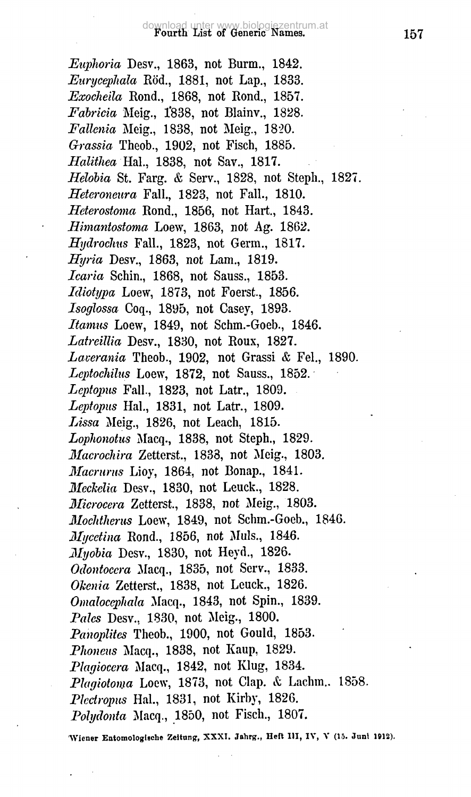*Euphoria* Desv., 1863, not Burm., 1842. *Eurycephala* Röd., 1881, not Lap., 1833. *Exocheila* Rond., 1868, not Rond., 1857. *Fabricia* Meig., 1838, not Blainv., 1828. *Fallenia* Meig., 1838, not Meig., 1820. *Grassia* Theob., 1902, not Fisch, 1885. *Halithea* Hal., 1838, not Sav., 1817. *Helobia* St. Farg. & Serv., 1828, not Steph., 1827. *Heteroneura* Fall., 1823, not Fall., 1810. *Hcterosioma* Rond., 1856, not Hart., 1843. *Himantostoma* Loew, 1863, not Ag. 1862. *Hydroclms* Fall., 1823, not Germ., 1817. *Hyria* Desv., 1863, not Lam., 1819. *Icaria* Schin., 1868, not Sauss., 1853. *Idiotypa* Loew, 1873, not Foerst, 1856. *Isoglossa* Coq., 1895, not Casey, 1893. *Itamus* Loew, 1849, not Schm.-Goeb., 1846. *Latreillia* Desv., 1830, not Roux, 1827. *Lauerania* Theob., 1902, not Grassi & Fel., 1890. *Leptochilus* Loew, 1872, not Sauss., 1852. *Leptopus* Fall., 1823, not Latr., 1809. *Leptopus* Hal., 1831, not Latr., 1809. *Lissa* Meig., 1826, not Leach, 1815. *Lophonotus* Macq., 1838, not Steph., 1829. *Macroclnra* Zetterst., 1838, not Meig., 1803. *Macrurus* Lioy, 1864, not Bonap., 1841. *Meckelia* Desv., 1830, not Leuck., 1828. *Microcera* Zetterst., 1838, not Meig., 1803. *Moclithenis* Loew, 1849, not Schm.-Goeb., 1846. *Mycetina* Rond., 1856, not Muls., 1846. *Myobia* Desv., 1830, not Heyd., 1826. *Odontocera* Macq., 1835, not Serv., 1833. Okenia Zetterst., 1838, not Leuck., 1826. *Omalocephala* Macq., 1843, not Spin., 1839. *Pales* Desv., 1830, not Meig., 1800. *Panoplitcs* Theob., 1900, not Gould, 1853. *Plwncus* Macq., 1838, not Kaup, 1829. *Plagiocera* Macq., 1842, not Klug, 1834. *Plagiotoma* Loew, 1873, not Clap. *&* Lachm.. 1858. *Pkdropus* Hal., 1831, not Kirby, 1826. *Polydonia* Macq., 1850, not Fisch., 1807.

Wiener Entomologische Zeitung, XXXI. Jahrg., Heft III, IV, V (15. Juni 1912).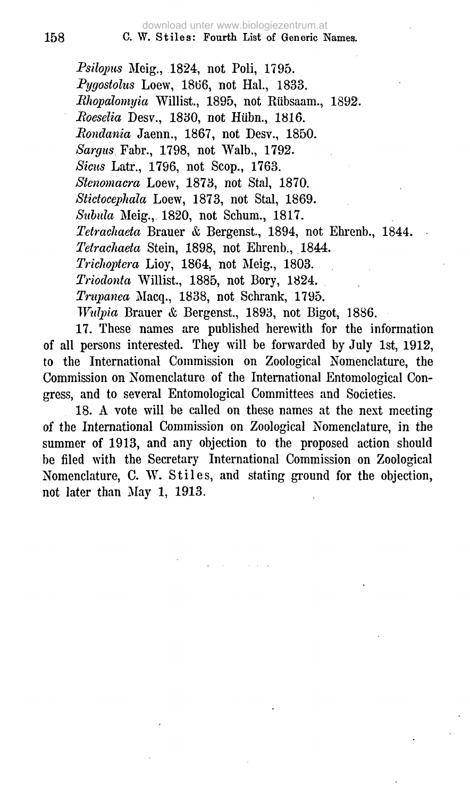*Psilopus* Meig., 1824, not Poli, 1795. *Pygostoliis* Loew, 1866, not Hal., 1833. *BJwpalomyia* Willist., 1895, not Riibsaam., 1892. *Koeselia* Desv., 1830, not Hiibn., 1816. *Mondania* Jaenn., 1867, not Desv., 1850. *Sargus* Fabr., 1798, not Walb., 1792. *Sicus* Latr., 1796, not Scop., 1763. *Stenomacra* Loew, 1873, not Stal, 1870. *Stictocepliala* Loew, 1873, not Stal, 1869. *Siibula* Meig., 1820, not Schum., 1817. *Tetrachaeta* Brauer & Bergenst, 1894, not Ehrenb., 1844. *Tetrachaeta* Stein, 1898, not Ehrenb., 1844. *Triclioptera* Lioy, 1864, not Meig., 1803. *Triodonta* Willist., 1885, not Bory, 1824. *Trujpanea* Macq., 1838, not Schrank, 1795. *Wulpia* Brauer *&* Bergenst., 1893, not Bigot, 1886.

17. These names are published herewith for the information of all persons interested. They will be forwarded by July 1st, 1912, to the International Commission on Zoological Nomenclature, the Commission on Nomenclature of the International Entomological Congress, and to several Entomological Committees and Societies.

18. A vote will be called on these names at the next meeting of the International Commission on Zoological Nomenclature, in the summer of 1913, and any objection to the proposed action should be filed with the Secretary International Commission on Zoological Nomenclature, C. W. Stiles, and stating ground for the objection, not later than May 1, 1913.